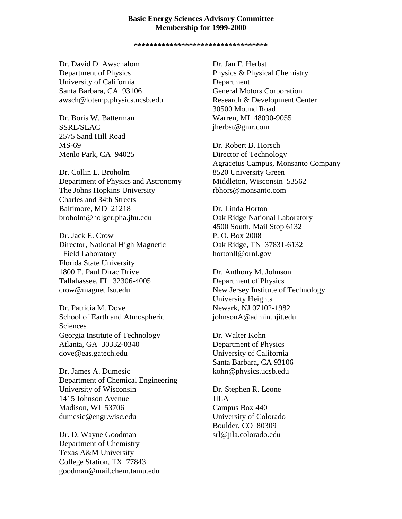## **Basic Energy Sciences Advisory Committee Membership for 1999-2000**

**\*\*\*\*\*\*\*\*\*\*\*\*\*\*\*\*\*\*\*\*\*\*\*\*\*\*\*\*\*\*\*\*\*\***

Dr. David D. Awschalom Department of Physics University of California Santa Barbara, CA 93106 awsch@lotemp.physics.ucsb.edu

Dr. Boris W. Batterman SSRL/SLAC 2575 Sand Hill Road MS-69 Menlo Park, CA 94025

Dr. Collin L. Broholm Department of Physics and Astronomy The Johns Hopkins University Charles and 34th Streets Baltimore, MD 21218 broholm@holger.pha.jhu.edu

Dr. Jack E. Crow Director, National High Magnetic Field Laboratory Florida State University 1800 E. Paul Dirac Drive Tallahassee, FL 32306-4005 crow@magnet.fsu.edu

Dr. Patricia M. Dove School of Earth and Atmospheric Sciences Georgia Institute of Technology Atlanta, GA 30332-0340 dove@eas.gatech.edu

Dr. James A. Dumesic Department of Chemical Engineering University of Wisconsin 1415 Johnson Avenue Madison, WI 53706 dumesic@engr.wisc.edu

Dr. D. Wayne Goodman Department of Chemistry Texas A&M University College Station, TX 77843 goodman@mail.chem.tamu.edu

Dr. Jan F. Herbst Physics & Physical Chemistry Department General Motors Corporation Research & Development Center 30500 Mound Road Warren, MI 48090-9055 jherbst@gmr.com

Dr. Robert B. Horsch [Director of Techno](mailto:jherbst@gmr.com)logy Agracetus Campus, Monsanto Company 8520 University Green Middleton, Wisconsin 53562 rbhors@monsanto.com

Dr. Linda Horton Oak Ridge National Laboratory 4500 South, Mail Stop 6132 P. O. Box 2008 Oak Ridge, TN 37831-6132 hortonll@ornl.gov

Dr. Anthony M. Johnson Department of Physics New Jersey Institute of Technology University Heights Newark, NJ 07102-1982 johnsonA@admin.njit.edu

Dr. Walter Kohn Department of Physics University of California Santa Barbara, CA 93106 kohn@physics.ucsb.edu

Dr. Stephen R. Leone JILA Campus Box 440 University of Colorado Boulder, CO 80309 srl@jila.colorado.edu